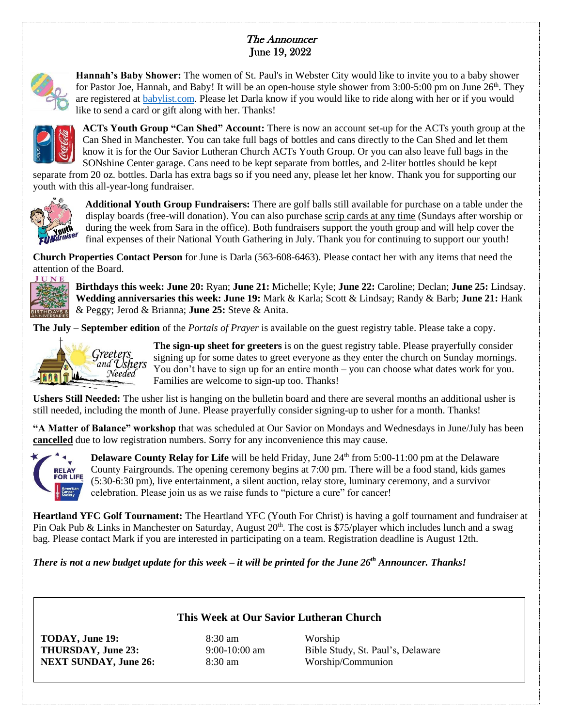## The Announcer June 19, 2022



**Hannah's Baby Shower:** The women of St. Paul's in Webster City would like to invite you to a baby shower for Pastor Joe, Hannah, and Baby! It will be an open-house style shower from 3:00-5:00 pm on June 26th. They are registered at [babylist.com.](http://babylist.com/) Please let Darla know if you would like to ride along with her or if you would like to send a card or gift along with her. Thanks!



**ACTs Youth Group "Can Shed" Account:** There is now an account set-up for the ACTs youth group at the Can Shed in Manchester. You can take full bags of bottles and cans directly to the Can Shed and let them know it is for the Our Savior Lutheran Church ACTs Youth Group. Or you can also leave full bags in the SONshine Center garage. Cans need to be kept separate from bottles, and 2-liter bottles should be kept

separate from 20 oz. bottles. Darla has extra bags so if you need any, please let her know. Thank you for supporting our youth with this all-year-long fundraiser.



**Additional Youth Group Fundraisers:** There are golf balls still available for purchase on a table under the display boards (free-will donation). You can also purchase scrip cards at any time (Sundays after worship or during the week from Sara in the office). Both fundraisers support the youth group and will help cover the final expenses of their National Youth Gathering in July. Thank you for continuing to support our youth!

**Church Properties Contact Person** for June is Darla (563-608-6463). Please contact her with any items that need the attention of the Board.



**Birthdays this week: June 20:** Ryan; **June 21:** Michelle; Kyle; **June 22:** Caroline; Declan; **June 25:** Lindsay. **Wedding anniversaries this week: June 19:** Mark & Karla; Scott & Lindsay; Randy & Barb; **June 21:** Hank & Peggy; Jerod & Brianna; **June 25:** Steve & Anita.

**The July – September edition** of the *Portals of Prayer* is available on the guest registry table. Please take a copy.



**The sign-up sheet for greeters** is on the guest registry table. Please prayerfully consider signing up for some dates to greet everyone as they enter the church on Sunday mornings. You don't have to sign up for an entire month – you can choose what dates work for you. Families are welcome to sign-up too. Thanks!

**Ushers Still Needed:** The usher list is hanging on the bulletin board and there are several months an additional usher is still needed, including the month of June. Please prayerfully consider signing-up to usher for a month. Thanks!

**"A Matter of Balance" workshop** that was scheduled at Our Savior on Mondays and Wednesdays in June/July has been **cancelled** due to low registration numbers. Sorry for any inconvenience this may cause.



**Delaware County Relay for Life** will be held Friday, June 24<sup>th</sup> from 5:00-11:00 pm at the Delaware County Fairgrounds. The opening ceremony begins at 7:00 pm. There will be a food stand, kids games (5:30-6:30 pm), live entertainment, a silent auction, relay store, luminary ceremony, and a survivor celebration. Please join us as we raise funds to "picture a cure" for cancer!

**Heartland YFC Golf Tournament:** The Heartland YFC (Youth For Christ) is having a golf tournament and fundraiser at Pin Oak Pub & Links in Manchester on Saturday, August 20<sup>th</sup>. The cost is \$75/player which includes lunch and a swag bag. Please contact Mark if you are interested in participating on a team. Registration deadline is August 12th.

**This Week at Our Savior Lutheran Church**

*There is not a new budget update for this week – it will be printed for the June 26th Announcer. Thanks!*

**TODAY, June 19:** 8:30 am Worship **NEXT SUNDAY, June 26:** 8:30 am Worship/Communion

**THURSDAY, June 23:** 9:00-10:00 am Bible Study, St. Paul's, Delaware